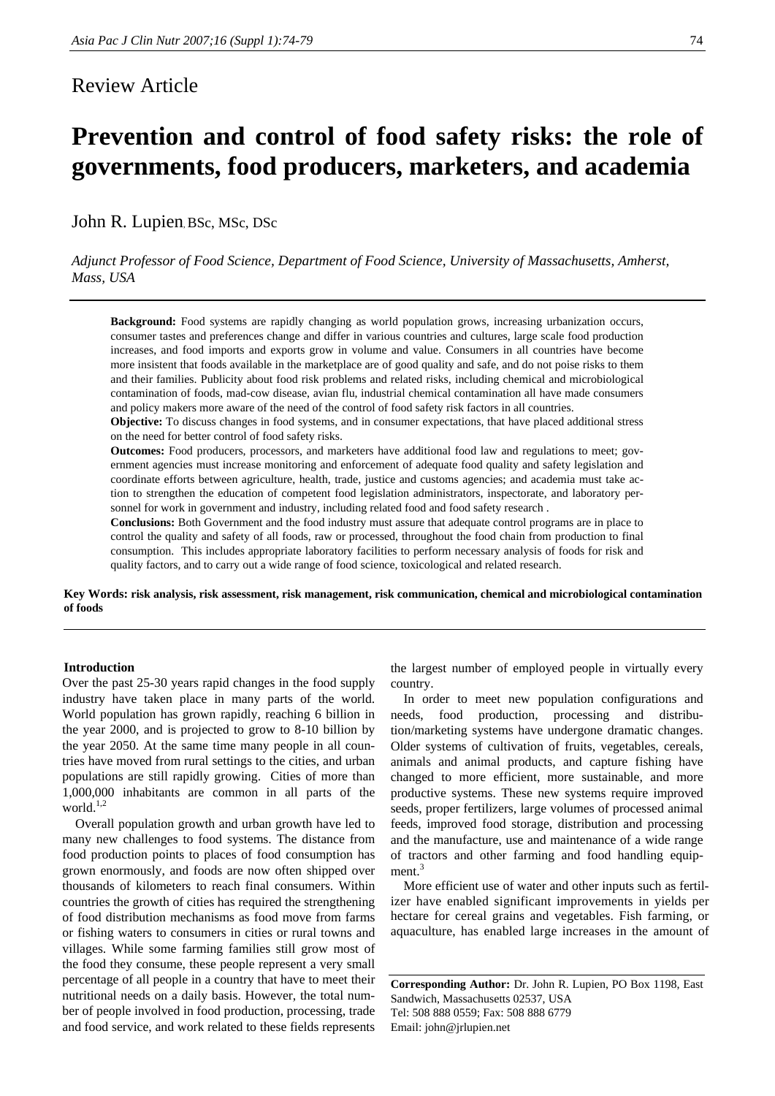# Review Article

John R. Lupien, BSc, MSc, DSc

*Adjunct Professor of Food Science, Department of Food Science, University of Massachusetts, Amherst, Mass, USA* 

**governments, food producers, marketers, and academia** 

**Background:** Food systems are rapidly changing as world population grows, increasing urbanization occurs, consumer tastes and preferences change and differ in various countries and cultures, large scale food production increases, and food imports and exports grow in volume and value. Consumers in all countries have become more insistent that foods available in the marketplace are of good quality and safe, and do not poise risks to them and their families. Publicity about food risk problems and related risks, including chemical and microbiological contamination of foods, mad-cow disease, avian flu, industrial chemical contamination all have made consumers and policy makers more aware of the need of the control of food safety risk factors in all countries.

**Objective:** To discuss changes in food systems, and in consumer expectations, that have placed additional stress on the need for better control of food safety risks.

**Outcomes:** Food producers, processors, and marketers have additional food law and regulations to meet; government agencies must increase monitoring and enforcement of adequate food quality and safety legislation and coordinate efforts between agriculture, health, trade, justice and customs agencies; and academia must take action to strengthen the education of competent food legislation administrators, inspectorate, and laboratory personnel for work in government and industry, including related food and food safety research .

**Conclusions:** Both Government and the food industry must assure that adequate control programs are in place to control the quality and safety of all foods, raw or processed, throughout the food chain from production to final consumption. This includes appropriate laboratory facilities to perform necessary analysis of foods for risk and quality factors, and to carry out a wide range of food science, toxicological and related research.

**Key Words: risk analysis, risk assessment, risk management, risk communication, chemical and microbiological contamination of foods** 

## **Introduction**

Over the past 25-30 years rapid changes in the food supply industry have taken place in many parts of the world. World population has grown rapidly, reaching 6 billion in the year 2000, and is projected to grow to 8-10 billion by the year 2050. At the same time many people in all countries have moved from rural settings to the cities, and urban populations are still rapidly growing. Cities of more than 1,000,000 inhabitants are common in all parts of the world. $1,2$ 

Overall population growth and urban growth have led to many new challenges to food systems. The distance from food production points to places of food consumption has grown enormously, and foods are now often shipped over thousands of kilometers to reach final consumers. Within countries the growth of cities has required the strengthening of food distribution mechanisms as food move from farms or fishing waters to consumers in cities or rural towns and villages. While some farming families still grow most of the food they consume, these people represent a very small percentage of all people in a country that have to meet their nutritional needs on a daily basis. However, the total number of people involved in food production, processing, trade and food service, and work related to these fields represents the largest number of employed people in virtually every country.

In order to meet new population configurations and needs, food production, processing and distribution/marketing systems have undergone dramatic changes. Older systems of cultivation of fruits, vegetables, cereals, animals and animal products, and capture fishing have changed to more efficient, more sustainable, and more productive systems. These new systems require improved seeds, proper fertilizers, large volumes of processed animal feeds, improved food storage, distribution and processing and the manufacture, use and maintenance of a wide range of tractors and other farming and food handling equipment.<sup>3</sup>

More efficient use of water and other inputs such as fertilizer have enabled significant improvements in yields per hectare for cereal grains and vegetables. Fish farming, or aquaculture, has enabled large increases in the amount of

**Corresponding Author:** Dr. John R. Lupien, PO Box 1198, East Sandwich, Massachusetts 02537, USA Tel: 508 888 0559; Fax: 508 888 6779 Email: john@jrlupien.net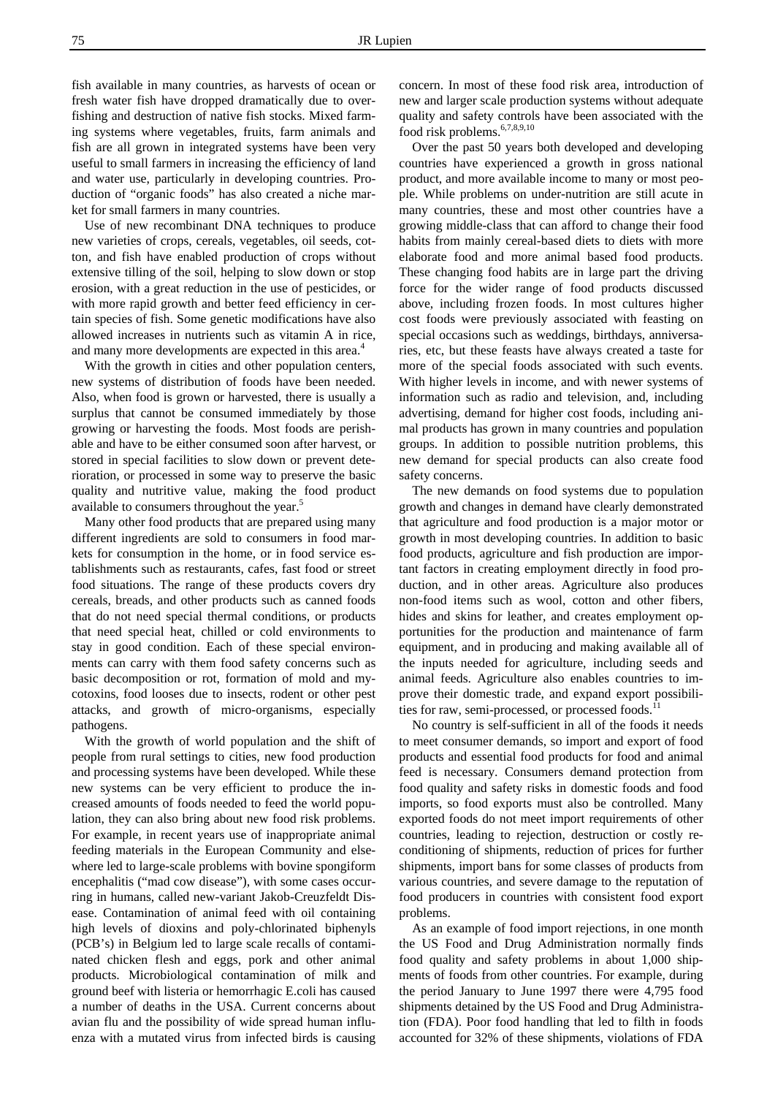fish available in many countries, as harvests of ocean or fresh water fish have dropped dramatically due to overfishing and destruction of native fish stocks. Mixed farming systems where vegetables, fruits, farm animals and fish are all grown in integrated systems have been very useful to small farmers in increasing the efficiency of land and water use, particularly in developing countries. Production of "organic foods" has also created a niche market for small farmers in many countries.

Use of new recombinant DNA techniques to produce new varieties of crops, cereals, vegetables, oil seeds, cotton, and fish have enabled production of crops without extensive tilling of the soil, helping to slow down or stop erosion, with a great reduction in the use of pesticides, or with more rapid growth and better feed efficiency in certain species of fish. Some genetic modifications have also allowed increases in nutrients such as vitamin A in rice, and many more developments are expected in this area.<sup>4</sup>

With the growth in cities and other population centers, new systems of distribution of foods have been needed. Also, when food is grown or harvested, there is usually a surplus that cannot be consumed immediately by those growing or harvesting the foods. Most foods are perishable and have to be either consumed soon after harvest, or stored in special facilities to slow down or prevent deterioration, or processed in some way to preserve the basic quality and nutritive value, making the food product available to consumers throughout the year.<sup>5</sup>

Many other food products that are prepared using many different ingredients are sold to consumers in food markets for consumption in the home, or in food service establishments such as restaurants, cafes, fast food or street food situations. The range of these products covers dry cereals, breads, and other products such as canned foods that do not need special thermal conditions, or products that need special heat, chilled or cold environments to stay in good condition. Each of these special environments can carry with them food safety concerns such as basic decomposition or rot, formation of mold and mycotoxins, food looses due to insects, rodent or other pest attacks, and growth of micro-organisms, especially pathogens.

With the growth of world population and the shift of people from rural settings to cities, new food production and processing systems have been developed. While these new systems can be very efficient to produce the increased amounts of foods needed to feed the world population, they can also bring about new food risk problems. For example, in recent years use of inappropriate animal feeding materials in the European Community and elsewhere led to large-scale problems with bovine spongiform encephalitis ("mad cow disease"), with some cases occurring in humans, called new-variant Jakob-Creuzfeldt Disease. Contamination of animal feed with oil containing high levels of dioxins and poly-chlorinated biphenyls (PCB's) in Belgium led to large scale recalls of contaminated chicken flesh and eggs, pork and other animal products. Microbiological contamination of milk and ground beef with listeria or hemorrhagic E.coli has caused a number of deaths in the USA. Current concerns about avian flu and the possibility of wide spread human influenza with a mutated virus from infected birds is causing

concern. In most of these food risk area, introduction of new and larger scale production systems without adequate quality and safety controls have been associated with the food risk problems.<sup>6,7,8,9,10</sup>

Over the past 50 years both developed and developing countries have experienced a growth in gross national product, and more available income to many or most people. While problems on under-nutrition are still acute in many countries, these and most other countries have a growing middle-class that can afford to change their food habits from mainly cereal-based diets to diets with more elaborate food and more animal based food products. These changing food habits are in large part the driving force for the wider range of food products discussed above, including frozen foods. In most cultures higher cost foods were previously associated with feasting on special occasions such as weddings, birthdays, anniversaries, etc, but these feasts have always created a taste for more of the special foods associated with such events. With higher levels in income, and with newer systems of information such as radio and television, and, including advertising, demand for higher cost foods, including animal products has grown in many countries and population groups. In addition to possible nutrition problems, this new demand for special products can also create food safety concerns.

The new demands on food systems due to population growth and changes in demand have clearly demonstrated that agriculture and food production is a major motor or growth in most developing countries. In addition to basic food products, agriculture and fish production are important factors in creating employment directly in food production, and in other areas. Agriculture also produces non-food items such as wool, cotton and other fibers, hides and skins for leather, and creates employment opportunities for the production and maintenance of farm equipment, and in producing and making available all of the inputs needed for agriculture, including seeds and animal feeds. Agriculture also enables countries to improve their domestic trade, and expand export possibilities for raw, semi-processed, or processed foods.

No country is self-sufficient in all of the foods it needs to meet consumer demands, so import and export of food products and essential food products for food and animal feed is necessary. Consumers demand protection from food quality and safety risks in domestic foods and food imports, so food exports must also be controlled. Many exported foods do not meet import requirements of other countries, leading to rejection, destruction or costly reconditioning of shipments, reduction of prices for further shipments, import bans for some classes of products from various countries, and severe damage to the reputation of food producers in countries with consistent food export problems.

As an example of food import rejections, in one month the US Food and Drug Administration normally finds food quality and safety problems in about 1,000 shipments of foods from other countries. For example, during the period January to June 1997 there were 4,795 food shipments detained by the US Food and Drug Administration (FDA). Poor food handling that led to filth in foods accounted for 32% of these shipments, violations of FDA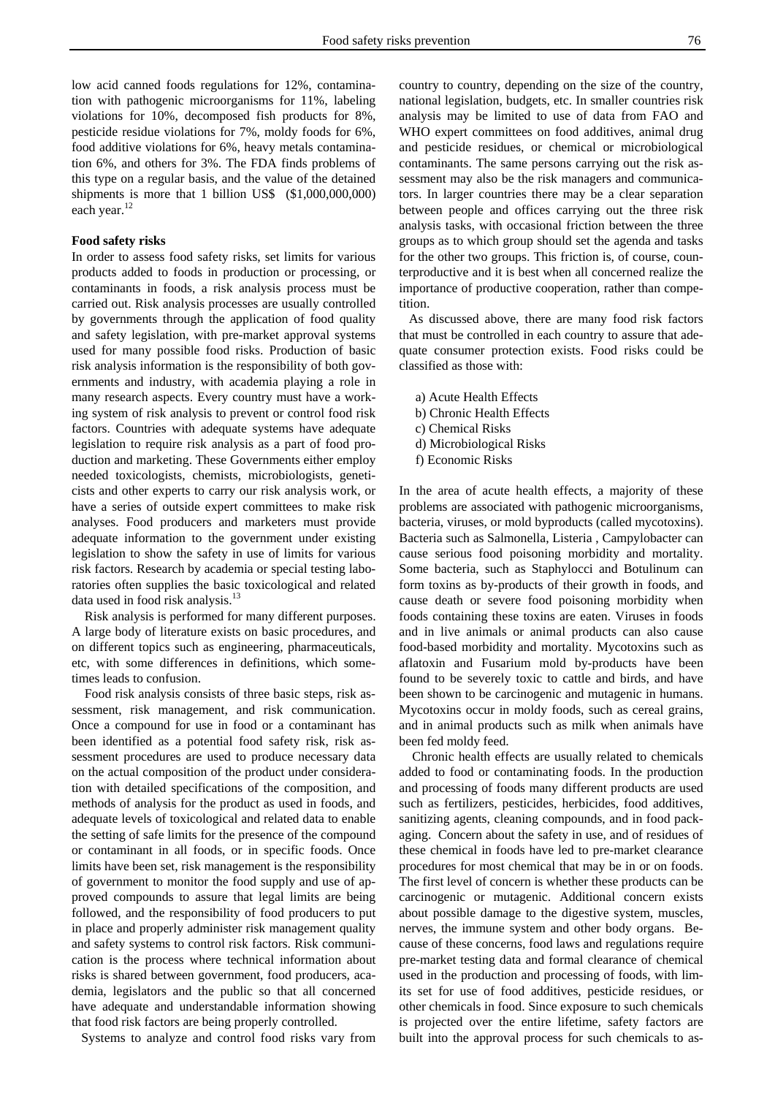low acid canned foods regulations for 12%, contamination with pathogenic microorganisms for 11%, labeling violations for 10%, decomposed fish products for 8%, pesticide residue violations for 7%, moldy foods for 6%, food additive violations for 6%, heavy metals contamination 6%, and others for 3%. The FDA finds problems of this type on a regular basis, and the value of the detained shipments is more that 1 billion US\$ (\$1,000,000,000) each year.<sup>12</sup>

## **Food safety risks**

In order to assess food safety risks, set limits for various products added to foods in production or processing, or contaminants in foods, a risk analysis process must be carried out. Risk analysis processes are usually controlled by governments through the application of food quality and safety legislation, with pre-market approval systems used for many possible food risks. Production of basic risk analysis information is the responsibility of both governments and industry, with academia playing a role in many research aspects. Every country must have a working system of risk analysis to prevent or control food risk factors. Countries with adequate systems have adequate legislation to require risk analysis as a part of food production and marketing. These Governments either employ needed toxicologists, chemists, microbiologists, geneticists and other experts to carry our risk analysis work, or have a series of outside expert committees to make risk analyses. Food producers and marketers must provide adequate information to the government under existing legislation to show the safety in use of limits for various risk factors. Research by academia or special testing laboratories often supplies the basic toxicological and related data used in food risk analysis.<sup>13</sup>

Risk analysis is performed for many different purposes. A large body of literature exists on basic procedures, and on different topics such as engineering, pharmaceuticals, etc, with some differences in definitions, which sometimes leads to confusion.

Food risk analysis consists of three basic steps, risk assessment, risk management, and risk communication. Once a compound for use in food or a contaminant has been identified as a potential food safety risk, risk assessment procedures are used to produce necessary data on the actual composition of the product under consideration with detailed specifications of the composition, and methods of analysis for the product as used in foods, and adequate levels of toxicological and related data to enable the setting of safe limits for the presence of the compound or contaminant in all foods, or in specific foods. Once limits have been set, risk management is the responsibility of government to monitor the food supply and use of approved compounds to assure that legal limits are being followed, and the responsibility of food producers to put in place and properly administer risk management quality and safety systems to control risk factors. Risk communication is the process where technical information about risks is shared between government, food producers, academia, legislators and the public so that all concerned have adequate and understandable information showing that food risk factors are being properly controlled.

Systems to analyze and control food risks vary from

country to country, depending on the size of the country, national legislation, budgets, etc. In smaller countries risk analysis may be limited to use of data from FAO and WHO expert committees on food additives, animal drug and pesticide residues, or chemical or microbiological contaminants. The same persons carrying out the risk assessment may also be the risk managers and communicators. In larger countries there may be a clear separation between people and offices carrying out the three risk analysis tasks, with occasional friction between the three groups as to which group should set the agenda and tasks for the other two groups. This friction is, of course, counterproductive and it is best when all concerned realize the importance of productive cooperation, rather than competition.

 As discussed above, there are many food risk factors that must be controlled in each country to assure that adequate consumer protection exists. Food risks could be classified as those with:

 a) Acute Health Effects b) Chronic Health Effects c) Chemical Risks d) Microbiological Risks f) Economic Risks

In the area of acute health effects, a majority of these problems are associated with pathogenic microorganisms, bacteria, viruses, or mold byproducts (called mycotoxins). Bacteria such as Salmonella, Listeria , Campylobacter can cause serious food poisoning morbidity and mortality. Some bacteria, such as Staphylocci and Botulinum can form toxins as by-products of their growth in foods, and cause death or severe food poisoning morbidity when foods containing these toxins are eaten. Viruses in foods and in live animals or animal products can also cause food-based morbidity and mortality. Mycotoxins such as aflatoxin and Fusarium mold by-products have been found to be severely toxic to cattle and birds, and have been shown to be carcinogenic and mutagenic in humans. Mycotoxins occur in moldy foods, such as cereal grains, and in animal products such as milk when animals have been fed moldy feed.

Chronic health effects are usually related to chemicals added to food or contaminating foods. In the production and processing of foods many different products are used such as fertilizers, pesticides, herbicides, food additives, sanitizing agents, cleaning compounds, and in food packaging. Concern about the safety in use, and of residues of these chemical in foods have led to pre-market clearance procedures for most chemical that may be in or on foods. The first level of concern is whether these products can be carcinogenic or mutagenic. Additional concern exists about possible damage to the digestive system, muscles, nerves, the immune system and other body organs. Because of these concerns, food laws and regulations require pre-market testing data and formal clearance of chemical used in the production and processing of foods, with limits set for use of food additives, pesticide residues, or other chemicals in food. Since exposure to such chemicals is projected over the entire lifetime, safety factors are built into the approval process for such chemicals to as-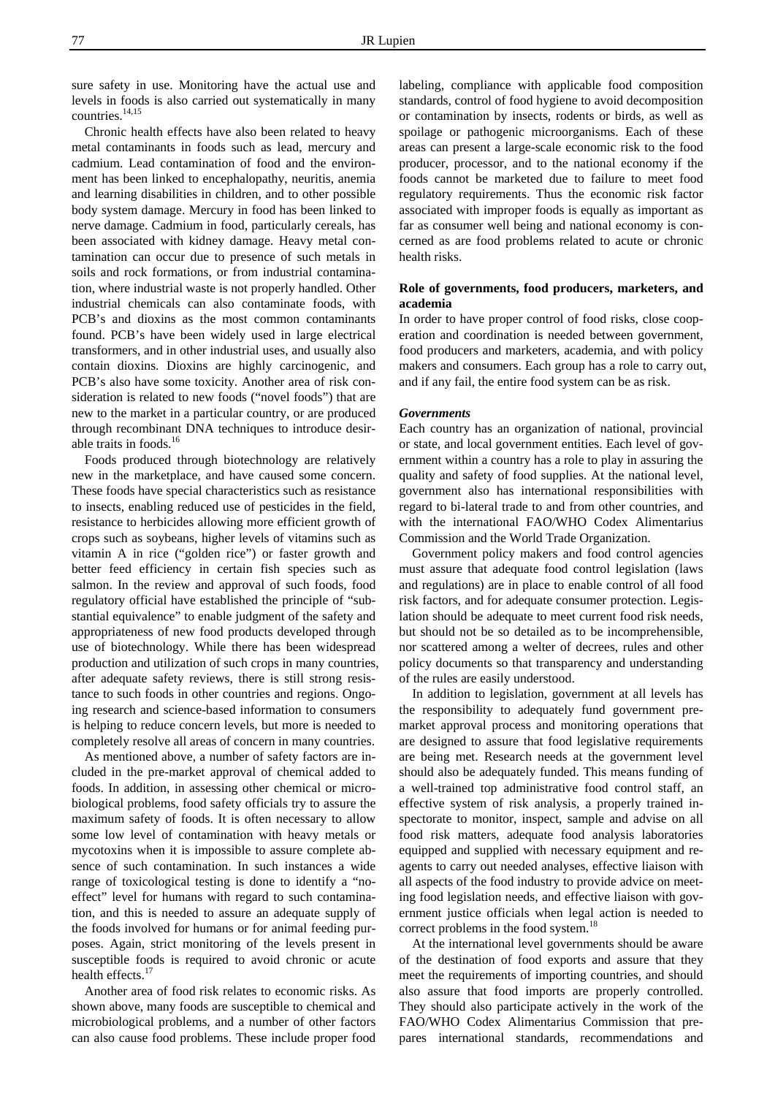sure safety in use. Monitoring have the actual use and levels in foods is also carried out systematically in many countries.<sup>14,15</sup>

Chronic health effects have also been related to heavy metal contaminants in foods such as lead, mercury and cadmium. Lead contamination of food and the environment has been linked to encephalopathy, neuritis, anemia and learning disabilities in children, and to other possible body system damage. Mercury in food has been linked to nerve damage. Cadmium in food, particularly cereals, has been associated with kidney damage. Heavy metal contamination can occur due to presence of such metals in soils and rock formations, or from industrial contamination, where industrial waste is not properly handled. Other industrial chemicals can also contaminate foods, with PCB's and dioxins as the most common contaminants found. PCB's have been widely used in large electrical transformers, and in other industrial uses, and usually also contain dioxins. Dioxins are highly carcinogenic, and PCB's also have some toxicity. Another area of risk consideration is related to new foods ("novel foods") that are new to the market in a particular country, or are produced through recombinant DNA techniques to introduce desirable traits in foods.16

Foods produced through biotechnology are relatively new in the marketplace, and have caused some concern. These foods have special characteristics such as resistance to insects, enabling reduced use of pesticides in the field, resistance to herbicides allowing more efficient growth of crops such as soybeans, higher levels of vitamins such as vitamin A in rice ("golden rice") or faster growth and better feed efficiency in certain fish species such as salmon. In the review and approval of such foods, food regulatory official have established the principle of "substantial equivalence" to enable judgment of the safety and appropriateness of new food products developed through use of biotechnology. While there has been widespread production and utilization of such crops in many countries, after adequate safety reviews, there is still strong resistance to such foods in other countries and regions. Ongoing research and science-based information to consumers is helping to reduce concern levels, but more is needed to completely resolve all areas of concern in many countries.

As mentioned above, a number of safety factors are included in the pre-market approval of chemical added to foods. In addition, in assessing other chemical or microbiological problems, food safety officials try to assure the maximum safety of foods. It is often necessary to allow some low level of contamination with heavy metals or mycotoxins when it is impossible to assure complete absence of such contamination. In such instances a wide range of toxicological testing is done to identify a "noeffect" level for humans with regard to such contamination, and this is needed to assure an adequate supply of the foods involved for humans or for animal feeding purposes. Again, strict monitoring of the levels present in susceptible foods is required to avoid chronic or acute health effects.<sup>17</sup>

Another area of food risk relates to economic risks. As shown above, many foods are susceptible to chemical and microbiological problems, and a number of other factors can also cause food problems. These include proper food

labeling, compliance with applicable food composition standards, control of food hygiene to avoid decomposition or contamination by insects, rodents or birds, as well as spoilage or pathogenic microorganisms. Each of these areas can present a large-scale economic risk to the food producer, processor, and to the national economy if the foods cannot be marketed due to failure to meet food regulatory requirements. Thus the economic risk factor associated with improper foods is equally as important as far as consumer well being and national economy is concerned as are food problems related to acute or chronic health risks.

# **Role of governments, food producers, marketers, and academia**

In order to have proper control of food risks, close cooperation and coordination is needed between government, food producers and marketers, academia, and with policy makers and consumers. Each group has a role to carry out, and if any fail, the entire food system can be as risk.

## *Governments*

Each country has an organization of national, provincial or state, and local government entities. Each level of government within a country has a role to play in assuring the quality and safety of food supplies. At the national level, government also has international responsibilities with regard to bi-lateral trade to and from other countries, and with the international FAO/WHO Codex Alimentarius Commission and the World Trade Organization.

Government policy makers and food control agencies must assure that adequate food control legislation (laws and regulations) are in place to enable control of all food risk factors, and for adequate consumer protection. Legislation should be adequate to meet current food risk needs, but should not be so detailed as to be incomprehensible, nor scattered among a welter of decrees, rules and other policy documents so that transparency and understanding of the rules are easily understood.

In addition to legislation, government at all levels has the responsibility to adequately fund government premarket approval process and monitoring operations that are designed to assure that food legislative requirements are being met. Research needs at the government level should also be adequately funded. This means funding of a well-trained top administrative food control staff, an effective system of risk analysis, a properly trained inspectorate to monitor, inspect, sample and advise on all food risk matters, adequate food analysis laboratories equipped and supplied with necessary equipment and reagents to carry out needed analyses, effective liaison with all aspects of the food industry to provide advice on meeting food legislation needs, and effective liaison with government justice officials when legal action is needed to correct problems in the food system.<sup>18</sup>

At the international level governments should be aware of the destination of food exports and assure that they meet the requirements of importing countries, and should also assure that food imports are properly controlled. They should also participate actively in the work of the FAO/WHO Codex Alimentarius Commission that prepares international standards, recommendations and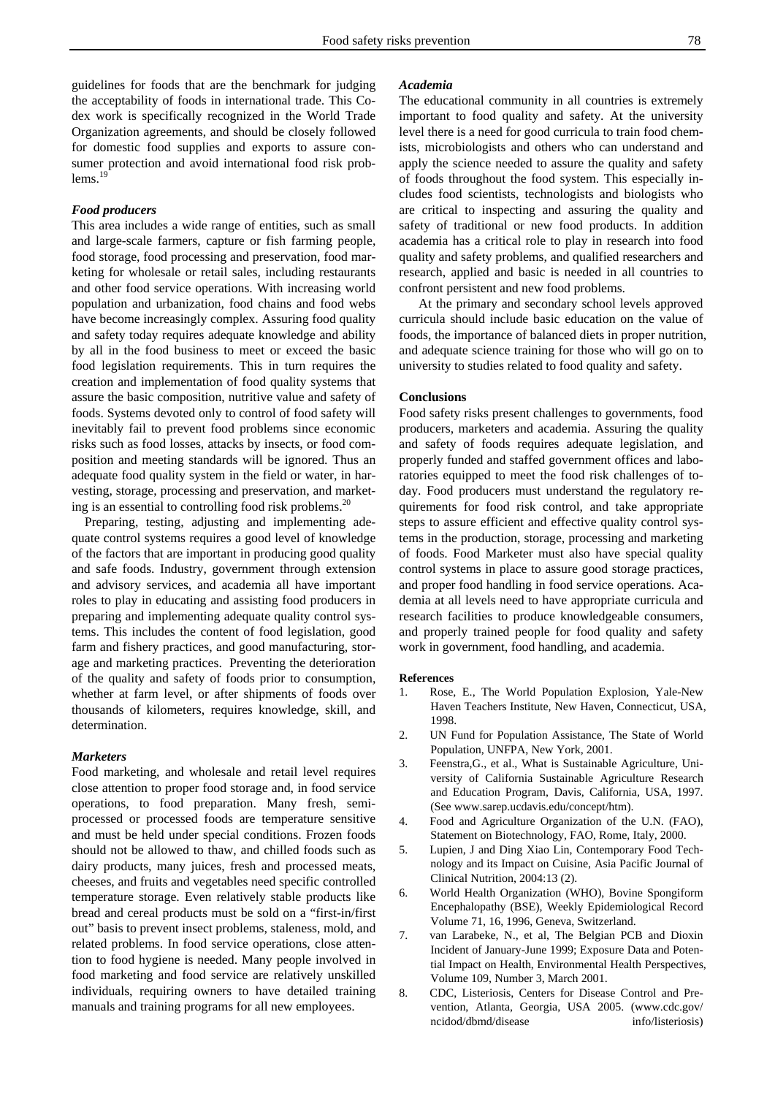### *Food producers*

This area includes a wide range of entities, such as small and large-scale farmers, capture or fish farming people, food storage, food processing and preservation, food marketing for wholesale or retail sales, including restaurants and other food service operations. With increasing world population and urbanization, food chains and food webs have become increasingly complex. Assuring food quality and safety today requires adequate knowledge and ability by all in the food business to meet or exceed the basic food legislation requirements. This in turn requires the creation and implementation of food quality systems that assure the basic composition, nutritive value and safety of foods. Systems devoted only to control of food safety will inevitably fail to prevent food problems since economic risks such as food losses, attacks by insects, or food composition and meeting standards will be ignored. Thus an adequate food quality system in the field or water, in harvesting, storage, processing and preservation, and marketing is an essential to controlling food risk problems.<sup>20</sup>

 Preparing, testing, adjusting and implementing adequate control systems requires a good level of knowledge of the factors that are important in producing good quality and safe foods. Industry, government through extension and advisory services, and academia all have important roles to play in educating and assisting food producers in preparing and implementing adequate quality control systems. This includes the content of food legislation, good farm and fishery practices, and good manufacturing, storage and marketing practices. Preventing the deterioration of the quality and safety of foods prior to consumption, whether at farm level, or after shipments of foods over thousands of kilometers, requires knowledge, skill, and determination.

#### *Marketers*

Food marketing, and wholesale and retail level requires close attention to proper food storage and, in food service operations, to food preparation. Many fresh, semiprocessed or processed foods are temperature sensitive and must be held under special conditions. Frozen foods should not be allowed to thaw, and chilled foods such as dairy products, many juices, fresh and processed meats, cheeses, and fruits and vegetables need specific controlled temperature storage. Even relatively stable products like bread and cereal products must be sold on a "first-in/first out" basis to prevent insect problems, staleness, mold, and related problems. In food service operations, close attention to food hygiene is needed. Many people involved in food marketing and food service are relatively unskilled individuals, requiring owners to have detailed training manuals and training programs for all new employees.

## *Academia*

The educational community in all countries is extremely important to food quality and safety. At the university level there is a need for good curricula to train food chemists, microbiologists and others who can understand and apply the science needed to assure the quality and safety of foods throughout the food system. This especially includes food scientists, technologists and biologists who are critical to inspecting and assuring the quality and safety of traditional or new food products. In addition academia has a critical role to play in research into food quality and safety problems, and qualified researchers and research, applied and basic is needed in all countries to confront persistent and new food problems.

At the primary and secondary school levels approved curricula should include basic education on the value of foods, the importance of balanced diets in proper nutrition, and adequate science training for those who will go on to university to studies related to food quality and safety.

## **Conclusions**

Food safety risks present challenges to governments, food producers, marketers and academia. Assuring the quality and safety of foods requires adequate legislation, and properly funded and staffed government offices and laboratories equipped to meet the food risk challenges of today. Food producers must understand the regulatory requirements for food risk control, and take appropriate steps to assure efficient and effective quality control systems in the production, storage, processing and marketing of foods. Food Marketer must also have special quality control systems in place to assure good storage practices, and proper food handling in food service operations. Academia at all levels need to have appropriate curricula and research facilities to produce knowledgeable consumers, and properly trained people for food quality and safety work in government, food handling, and academia.

#### **References**

- 1. Rose, E., The World Population Explosion, Yale-New Haven Teachers Institute, New Haven, Connecticut, USA, 1998.
- 2. UN Fund for Population Assistance, The State of World Population, UNFPA, New York, 2001.
- 3. Feenstra,G., et al., What is Sustainable Agriculture, University of California Sustainable Agriculture Research and Education Program, Davis, California, USA, 1997. (See www.sarep.ucdavis.edu/concept/htm).
- 4. Food and Agriculture Organization of the U.N. (FAO), Statement on Biotechnology, FAO, Rome, Italy, 2000.
- 5. Lupien, J and Ding Xiao Lin, Contemporary Food Technology and its Impact on Cuisine, Asia Pacific Journal of Clinical Nutrition, 2004:13 (2).
- 6. World Health Organization (WHO), Bovine Spongiform Encephalopathy (BSE), Weekly Epidemiological Record Volume 71, 16, 1996, Geneva, Switzerland.
- 7. van Larabeke, N., et al, The Belgian PCB and Dioxin Incident of January-June 1999; Exposure Data and Potential Impact on Health, Environmental Health Perspectives, Volume 109, Number 3, March 2001.
- 8. CDC, Listeriosis, Centers for Disease Control and Prevention, Atlanta, Georgia, USA 2005. (www.cdc.gov/ ncidod/dbmd/disease info/listeriosis)